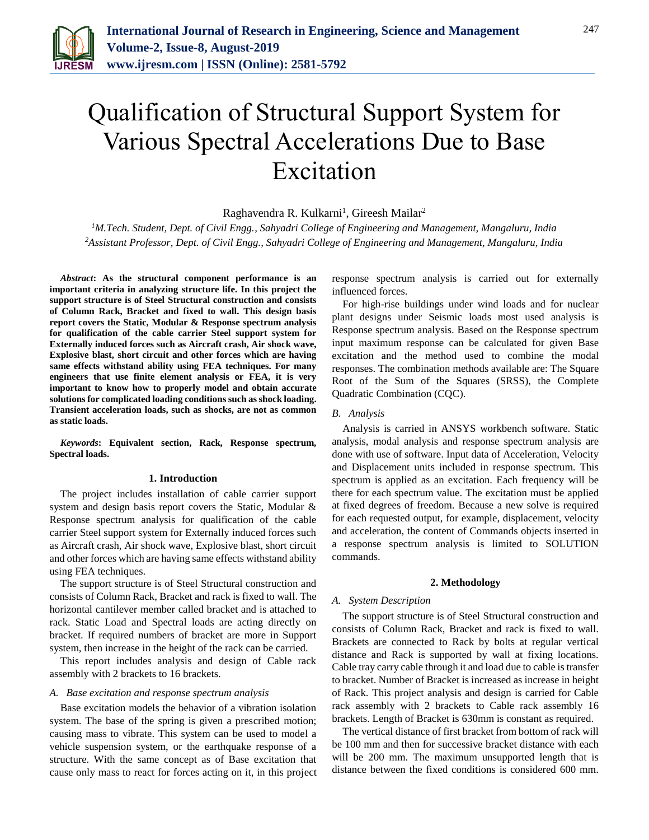

# Qualification of Structural Support System for Various Spectral Accelerations Due to Base Excitation

Raghavendra R. Kulkarni<sup>1</sup>, Gireesh Mailar<sup>2</sup>

*<sup>1</sup>M.Tech. Student, Dept. of Civil Engg., Sahyadri College of Engineering and Management, Mangaluru, India 2Assistant Professor, Dept. of Civil Engg., Sahyadri College of Engineering and Management, Mangaluru, India*

*Abstract***: As the structural component performance is an important criteria in analyzing structure life. In this project the support structure is of Steel Structural construction and consists of Column Rack, Bracket and fixed to wall. This design basis report covers the Static, Modular & Response spectrum analysis for qualification of the cable carrier Steel support system for Externally induced forces such as Aircraft crash, Air shock wave, Explosive blast, short circuit and other forces which are having same effects withstand ability using FEA techniques. For many engineers that use finite element analysis or FEA, it is very important to know how to properly model and obtain accurate solutions for complicated loading conditions such as shock loading. Transient acceleration loads, such as shocks, are not as common as static loads.**

*Keywords***: Equivalent section, Rack, Response spectrum, Spectral loads.**

#### **1. Introduction**

The project includes installation of cable carrier support system and design basis report covers the Static, Modular & Response spectrum analysis for qualification of the cable carrier Steel support system for Externally induced forces such as Aircraft crash, Air shock wave, Explosive blast, short circuit and other forces which are having same effects withstand ability using FEA techniques.

The support structure is of Steel Structural construction and consists of Column Rack, Bracket and rack is fixed to wall. The horizontal cantilever member called bracket and is attached to rack. Static Load and Spectral loads are acting directly on bracket. If required numbers of bracket are more in Support system, then increase in the height of the rack can be carried.

This report includes analysis and design of Cable rack assembly with 2 brackets to 16 brackets.

#### *A. Base excitation and response spectrum analysis*

Base excitation models the behavior of a vibration isolation system. The base of the spring is given a prescribed motion; causing mass to vibrate. This system can be used to model a vehicle suspension system, or the earthquake response of a structure. With the same concept as of Base excitation that cause only mass to react for forces acting on it, in this project response spectrum analysis is carried out for externally influenced forces.

For high-rise buildings under wind loads and for nuclear plant designs under Seismic loads most used analysis is Response spectrum analysis. Based on the Response spectrum input maximum response can be calculated for given Base excitation and the method used to combine the modal responses. The combination methods available are: The Square Root of the Sum of the Squares (SRSS), the Complete Quadratic Combination (CQC).

#### *B. Analysis*

Analysis is carried in ANSYS workbench software. Static analysis, modal analysis and response spectrum analysis are done with use of software. Input data of Acceleration, Velocity and Displacement units included in response spectrum. This spectrum is applied as an excitation. Each frequency will be there for each spectrum value. The excitation must be applied at fixed degrees of freedom. Because a new solve is required for each requested output, for example, displacement, velocity and acceleration, the content of Commands objects inserted in a response spectrum analysis is limited to SOLUTION commands.

#### **2. Methodology**

#### *A. System Description*

The support structure is of Steel Structural construction and consists of Column Rack, Bracket and rack is fixed to wall. Brackets are connected to Rack by bolts at regular vertical distance and Rack is supported by wall at fixing locations. Cable tray carry cable through it and load due to cable is transfer to bracket. Number of Bracket is increased as increase in height of Rack. This project analysis and design is carried for Cable rack assembly with 2 brackets to Cable rack assembly 16 brackets. Length of Bracket is 630mm is constant as required.

The vertical distance of first bracket from bottom of rack will be 100 mm and then for successive bracket distance with each will be 200 mm. The maximum unsupported length that is distance between the fixed conditions is considered 600 mm.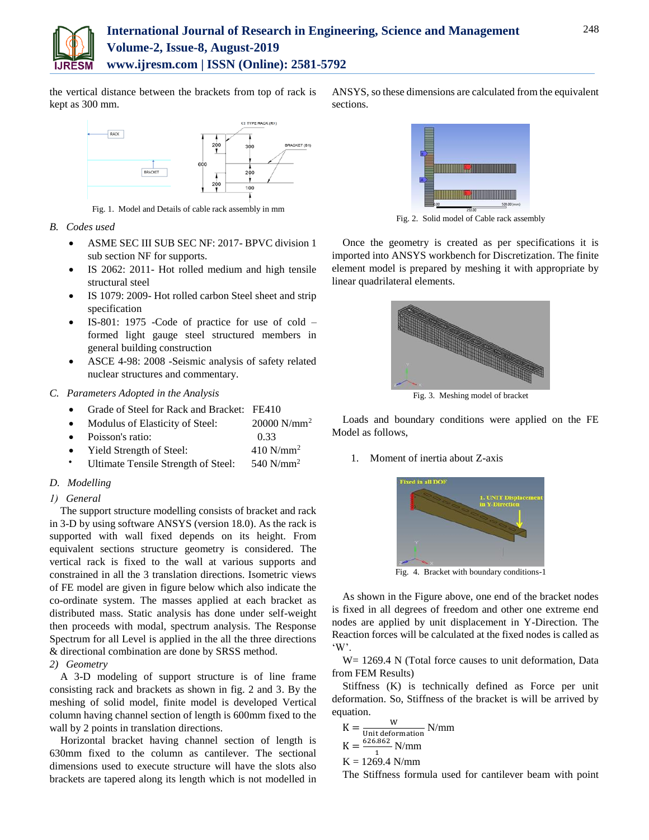

the vertical distance between the brackets from top of rack is kept as 300 mm.



Fig. 1. Model and Details of cable rack assembly in mm

- *B. Codes used*
	- ASME SEC III SUB SEC NF: 2017- BPVC division 1 sub section NF for supports.
	- IS 2062: 2011- Hot rolled medium and high tensile structural steel
	- IS 1079: 2009- Hot rolled carbon Steel sheet and strip specification
	- IS-801: 1975 -Code of practice for use of cold formed light gauge steel structured members in general building construction
	- ASCE 4-98: 2008 -Seismic analysis of safety related nuclear structures and commentary.

## *C. Parameters Adopted in the Analysis*

- Grade of Steel for Rack and Bracket: FE410
- Modulus of Elasticity of Steel:  $20000 \text{ N/mm}^2$
- Poisson's ratio: 0.33
- Yield Strength of Steel: 410 N/mm<sup>2</sup>
- Ultimate Tensile Strength of Steel: 540 N/mm<sup>2</sup>

#### *D. Modelling*

*1) General*

The support structure modelling consists of bracket and rack in 3-D by using software ANSYS (version 18.0). As the rack is supported with wall fixed depends on its height. From equivalent sections structure geometry is considered. The vertical rack is fixed to the wall at various supports and constrained in all the 3 translation directions. Isometric views of FE model are given in figure below which also indicate the co-ordinate system. The masses applied at each bracket as distributed mass. Static analysis has done under self-weight then proceeds with modal, spectrum analysis. The Response Spectrum for all Level is applied in the all the three directions & directional combination are done by SRSS method.

*2) Geometry*

A 3-D modeling of support structure is of line frame consisting rack and brackets as shown in fig. 2 and 3. By the meshing of solid model, finite model is developed Vertical column having channel section of length is 600mm fixed to the wall by 2 points in translation directions.

Horizontal bracket having channel section of length is 630mm fixed to the column as cantilever. The sectional dimensions used to execute structure will have the slots also brackets are tapered along its length which is not modelled in





Fig. 2. Solid model of Cable rack assembly

Once the geometry is created as per specifications it is imported into ANSYS workbench for Discretization. The finite element model is prepared by meshing it with appropriate by linear quadrilateral elements.



Fig. 3. Meshing model of bracket

Loads and boundary conditions were applied on the FE Model as follows,

1. Moment of inertia about Z-axis



Fig. 4. Bracket with boundary conditions-1

As shown in the Figure above, one end of the bracket nodes is fixed in all degrees of freedom and other one extreme end nodes are applied by unit displacement in Y-Direction. The Reaction forces will be calculated at the fixed nodes is called as 'W'.

W = 1269.4 N (Total force causes to unit deformation, Data from FEM Results)

Stiffness (K) is technically defined as Force per unit deformation. So, Stiffness of the bracket is will be arrived by equation.

$$
K = \frac{W}{\text{Unit deformation}}
$$
  

$$
K = \frac{626.862}{1}
$$
 N/mm

 $K = 1269.4$  N/mm

The Stiffness formula used for cantilever beam with point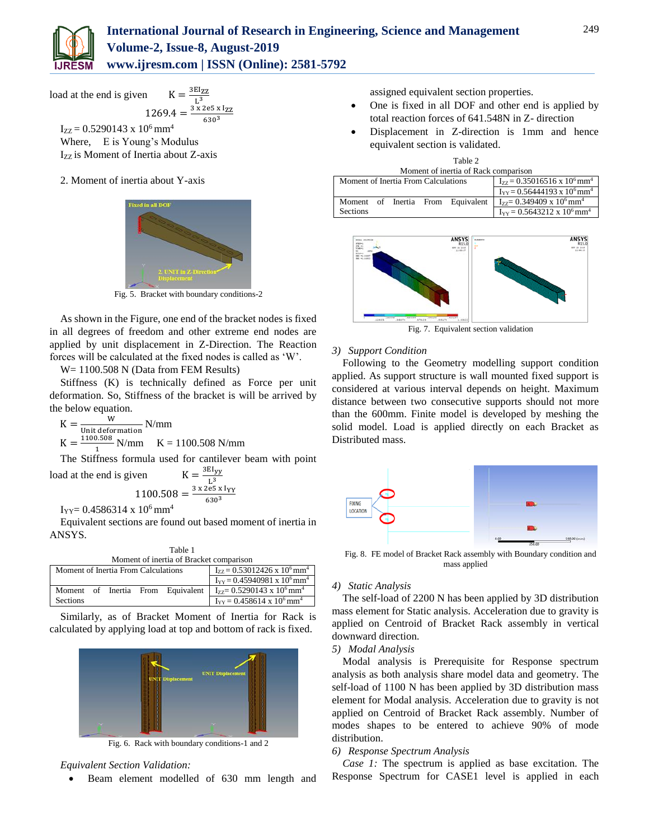

load at the end is given  $K - {^{3EI}ZZ}$ 

$$
1269.4 = \frac{3 \times 2e5 \times 1zz}{630^3}
$$

 $I_{ZZ} = 0.5290143 \times 10^6$  mm<sup>4</sup> Where, E is Young's Modulus Izz is Moment of Inertia about Z-axis

2. Moment of inertia about Y-axis



Fig. 5. Bracket with boundary conditions-2

As shown in the Figure, one end of the bracket nodes is fixed in all degrees of freedom and other extreme end nodes are applied by unit displacement in Z-Direction. The Reaction forces will be calculated at the fixed nodes is called as 'W'.

W= 1100.508 N (Data from FEM Results)

Stiffness (K) is technically defined as Force per unit deformation. So, Stiffness of the bracket is will be arrived by the below equation.

 $K = \frac{W}{\text{Unit deformation}} N/\text{mm}$  $K = \frac{1100.508}{4}$  $\frac{1.506}{1}$  N/mm K = 1100.508 N/mm

The Stiffness formula used for cantilever beam with point load at the end is given  $K = \frac{3EI_{yy}}{2}$ 

$$
1100.508 = \frac{3 \times 2e5 \times 1_{YY}}{630^3}
$$

 $I_{YY} = 0.4586314 \times 10^6$  mm<sup>4</sup>

Equivalent sections are found out based moment of inertia in ANSYS.

Table 1

| Moment of inertia of Bracket comparison |  |  |                                                   |                                   |                                                  |
|-----------------------------------------|--|--|---------------------------------------------------|-----------------------------------|--------------------------------------------------|
| Moment of Inertia From Calculations     |  |  | $I_{zz} = 0.53012426 \times 10^6$ mm <sup>4</sup> |                                   |                                                  |
|                                         |  |  | $I_{yy} = 0.45940981 \times 10^6$ mm <sup>4</sup> |                                   |                                                  |
|                                         |  |  |                                                   | Moment of Inertia From Equivalent | $I_{77} = 0.5290143 \times 10^6$ mm <sup>4</sup> |
| <b>Sections</b>                         |  |  |                                                   |                                   | $I_{YY} = 0.458614 \times 10^6$ mm <sup>4</sup>  |

Similarly, as of Bracket Moment of Inertia for Rack is calculated by applying load at top and bottom of rack is fixed.



Fig. 6. Rack with boundary conditions-1 and 2

#### *Equivalent Section Validation:*

Beam element modelled of 630 mm length and

assigned equivalent section properties.

- One is fixed in all DOF and other end is applied by total reaction forces of 641.548N in Z- direction
- Displacement in Z-direction is 1mm and hence equivalent section is validated.

| Table 2                              |                                                   |  |  |  |
|--------------------------------------|---------------------------------------------------|--|--|--|
| Moment of inertia of Rack comparison |                                                   |  |  |  |
| Moment of Inertia From Calculations  | $I_{77} = 0.35016516 \times 10^6$ mm <sup>4</sup> |  |  |  |
|                                      | $I_{yy} = 0.56444193 \times 10^6$ mm <sup>4</sup> |  |  |  |
| Moment of Inertia From Equivalent    | $I_{ZZ} = 0.349409 \times 10^6$ mm <sup>4</sup>   |  |  |  |
| <b>Sections</b>                      | $I_{yy} = 0.5643212 \times 10^6$ mm <sup>4</sup>  |  |  |  |



Fig. 7. Equivalent section validation

### *3) Support Condition*

Following to the Geometry modelling support condition applied. As support structure is wall mounted fixed support is considered at various interval depends on height. Maximum distance between two consecutive supports should not more than the 600mm. Finite model is developed by meshing the solid model. Load is applied directly on each Bracket as Distributed mass.



Fig. 8. FE model of Bracket Rack assembly with Boundary condition and mass applied

### *4) Static Analysis*

The self-load of 2200 N has been applied by 3D distribution mass element for Static analysis. Acceleration due to gravity is applied on Centroid of Bracket Rack assembly in vertical downward direction.

#### *5) Modal Analysis*

Modal analysis is Prerequisite for Response spectrum analysis as both analysis share model data and geometry. The self-load of 1100 N has been applied by 3D distribution mass element for Modal analysis. Acceleration due to gravity is not applied on Centroid of Bracket Rack assembly. Number of modes shapes to be entered to achieve 90% of mode distribution.

## *6) Response Spectrum Analysis*

*Case 1:* The spectrum is applied as base excitation. The Response Spectrum for CASE1 level is applied in each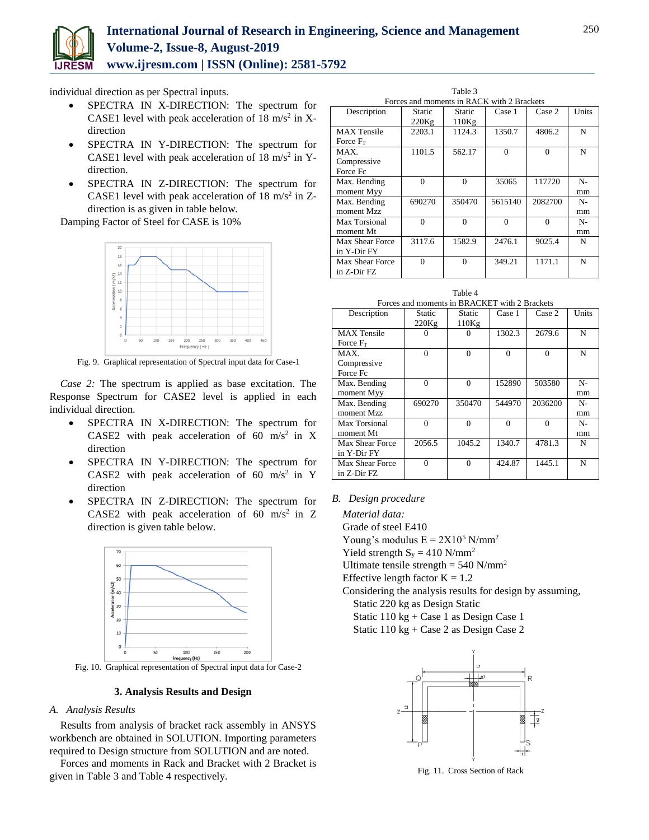

## **International Journal of Research in Engineering, Science and Management Volume-2, Issue-8, August-2019 www.ijresm.com | ISSN (Online): 2581-5792**

individual direction as per Spectral inputs.

- SPECTRA IN X-DIRECTION: The spectrum for CASE1 level with peak acceleration of  $18 \text{ m/s}^2$  in Xdirection
- SPECTRA IN Y-DIRECTION: The spectrum for CASE1 level with peak acceleration of  $18 \text{ m/s}^2$  in Ydirection.
- SPECTRA IN Z-DIRECTION: The spectrum for CASE1 level with peak acceleration of  $18 \text{ m/s}^2$  in Zdirection is as given in table below.

Damping Factor of Steel for CASE is 10%



Fig. 9. Graphical representation of Spectral input data for Case-1

*Case 2:* The spectrum is applied as base excitation. The Response Spectrum for CASE2 level is applied in each individual direction.

- SPECTRA IN X-DIRECTION: The spectrum for CASE2 with peak acceleration of 60 m/s<sup>2</sup> in X direction
- SPECTRA IN Y-DIRECTION: The spectrum for CASE2 with peak acceleration of 60 m/s<sup>2</sup> in Y direction
- SPECTRA IN Z-DIRECTION: The spectrum for CASE2 with peak acceleration of 60 m/s<sup>2</sup> in Z direction is given table below.



Fig. 10. Graphical representation of Spectral input data for Case-2

## **3. Analysis Results and Design**

#### *A. Analysis Results*

Results from analysis of bracket rack assembly in ANSYS workbench are obtained in SOLUTION. Importing parameters required to Design structure from SOLUTION and are noted.

Forces and moments in Rack and Bracket with 2 Bracket is given in Table 3 and Table 4 respectively.

Table 3  $\frac{1}{10}$  in RACK with 2 Brackets

| T vices and moments in ivere ix with 2 Drackets |          |          |          |          |       |
|-------------------------------------------------|----------|----------|----------|----------|-------|
| Description                                     | Static   | Static   | Case 1   | Case 2   | Units |
|                                                 | 220Kg    | 110Kg    |          |          |       |
| <b>MAX</b> Tensile                              | 2203.1   | 1124.3   | 1350.7   | 4806.2   | N     |
| Force $F_T$                                     |          |          |          |          |       |
| MAX.                                            | 1101.5   | 562.17   | $\Omega$ | $\Omega$ | N     |
| Compressive                                     |          |          |          |          |       |
| Force Fc                                        |          |          |          |          |       |
| Max. Bending                                    | $\Omega$ | $\Omega$ | 35065    | 117720   | $N -$ |
| moment Myy                                      |          |          |          |          | mm    |
| Max. Bending                                    | 690270   | 350470   | 5615140  | 2082700  | $N-$  |
| moment Mzz                                      |          |          |          |          | mm    |
| Max Torsional                                   | $\Omega$ | $\Omega$ | $\Omega$ | $\theta$ | $N-$  |
| moment Mt                                       |          |          |          |          | mm    |
| Max Shear Force                                 | 3117.6   | 1582.9   | 2476.1   | 9025.4   | N     |
| in Y-Dir FY                                     |          |          |          |          |       |
| Max Shear Force                                 | $\Omega$ | $\Omega$ | 349.21   | 1171.1   | N     |
| in Z-Dir FZ                                     |          |          |          |          |       |
|                                                 |          |          |          |          |       |

Table 4  $\overline{B}$  DD  $\overline{A}$  CVET with 2 Brackets

|                    | T OICES and moments in DIVACINET WHIT $\angle$ DIACRETS |          |          |          |       |
|--------------------|---------------------------------------------------------|----------|----------|----------|-------|
| Description        | Static                                                  | Static   | Case 1   | Case 2   | Units |
|                    | 220Kg                                                   | 110Kg    |          |          |       |
| <b>MAX</b> Tensile |                                                         | 0        | 1302.3   | 2679.6   | N     |
| Force $F_T$        |                                                         |          |          |          |       |
| MAX.               | $\theta$                                                | $\theta$ | $\Omega$ | $\Omega$ | N     |
| Compressive        |                                                         |          |          |          |       |
| Force Fc           |                                                         |          |          |          |       |
| Max. Bending       | $\Omega$                                                | $\theta$ | 152890   | 503580   | $N-$  |
| moment Myy         |                                                         |          |          |          | mm    |
| Max. Bending       | 690270                                                  | 350470   | 544970   | 2036200  | $N-$  |
| moment Mzz         |                                                         |          |          |          | mm    |
| Max Torsional      | $\Omega$                                                | $\Omega$ | $\Omega$ | $\Omega$ | $N-$  |
| moment Mt          |                                                         |          |          |          | mm    |
| Max Shear Force    | 2056.5                                                  | 1045.2   | 1340.7   | 4781.3   | N     |
| in Y-Dir FY        |                                                         |          |          |          |       |
| Max Shear Force    | 0                                                       | $\Omega$ | 424.87   | 1445.1   | N     |
| in Z-Dir FZ        |                                                         |          |          |          |       |

#### *B. Design procedure*

*Material data:* Grade of steel E410

Young's modulus  $E = 2X10^5$  N/mm<sup>2</sup>

Yield strength  $S_y = 410$  N/mm<sup>2</sup>

Ultimate tensile strength =  $540$  N/mm<sup>2</sup>

Effective length factor  $K = 1.2$ 

Considering the analysis results for design by assuming, Static 220 kg as Design Static Static 110 kg + Case 1 as Design Case 1

Static 110 kg + Case 2 as Design Case 2



Fig. 11. Cross Section of Rack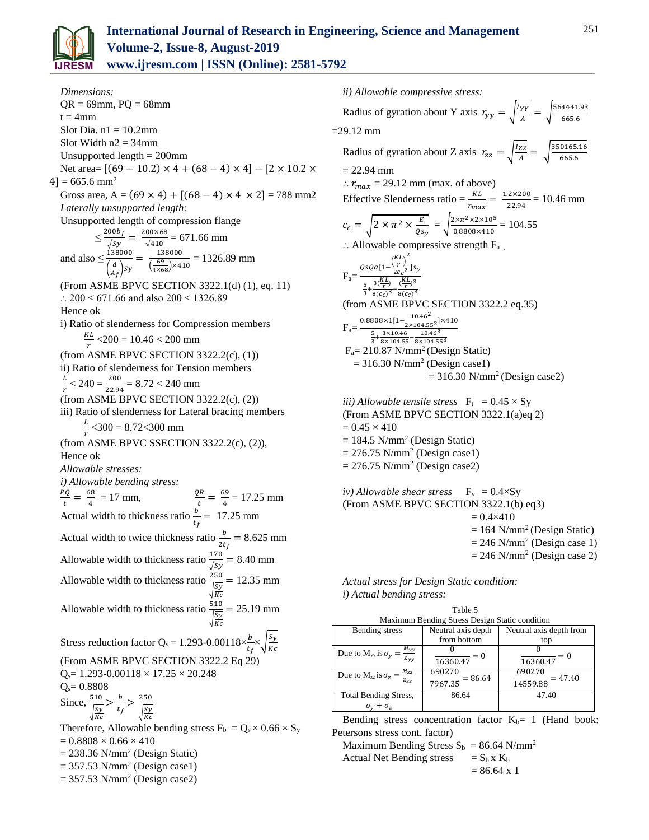

*Dimensions:*  $QR = 69$ mm,  $PQ = 68$ mm  $t = 4$ mm Slot Dia.  $n1 = 10.2$ mm Slot Width  $n2 = 34$ mm Unsupported length = 200mm Net area=  $[(69 - 10.2) \times 4 + (68 - 4) \times 4] - [2 \times 10.2 \times$  $4$ ] = 665.6 mm<sup>2</sup> Gross area, A =  $(69 \times 4)$  +  $[(68 - 4) \times 4 \times 2]$  = 788 mm2 *Laterally unsupported length:* Unsupported length of compression flange  $\leq \frac{200b_f}{\sqrt{2}}$  $\frac{100b_f}{\sqrt{Sy}} = \frac{200\times68}{\sqrt{410}}$  $\frac{60\times86}{\sqrt{410}}$  = 671.66 mm and also  $\leq \frac{138000}{(1100)}$  $\left(\frac{d}{A_f}\right)$ sy  $=\frac{138000}{69}$  $\left(\frac{69}{4\times68}\right)\times410$ = 1326.89 mm (From ASME BPVC SECTION 3322.1(d) (1), eq. 11)  $\therefore$  200 < 671.66 and also 200 < 1326.89 Hence ok i) Ratio of slenderness for Compression members KL  $\frac{\Delta L}{r}$  <200 = 10.46 < 200 mm (from ASME BPVC SECTION 3322.2(c), (1)) ii) Ratio of slenderness for Tension members L  $\frac{L}{r}$  < 240 =  $\frac{200}{22.94}$  = 8.72 < 240 mm (from ASME BPVC SECTION 3322.2(c), (2)) iii) Ratio of slenderness for Lateral bracing members L  $\frac{E}{r}$  <300 = 8.72<300 mm (from ASME BPVC SSECTION 3322.2(c), (2)), Hence ok *Allowable stresses: i) Allowable bending stress:* PQ  $\frac{vQ}{t} = \frac{68}{4}$  $\frac{68}{4}$  = 17 mm,  $\frac{QR}{t} = \frac{69}{4}$  $\frac{35}{4}$  = 17.25 mm Actual width to thickness ratio  $\frac{b}{t_f}$  = 17.25 mm Actual width to twice thickness ratio  $\frac{b}{2t_f} = 8.625$  mm Allowable width to thickness ratio  $\frac{170}{\sqrt{sy}} = 8.40$  mm Allowable width to thickness ratio  $\frac{250}{\sqrt{25}}$  $\sqrt{\frac{Sy}{Kc}}$  $= 12.35$  mm Allowable width to thickness ratio  $\frac{510}{\sqrt{2}}$  $\sqrt{\frac{Sy}{Kc}}$  $= 25.19$  mm Stress reduction factor Q<sub>s</sub> = 1.293-0.00118 $\times \frac{b}{t_f}\times \sqrt{\frac{S_y}{\kappa_G}}$  $\frac{sy}{Kc}$ (From ASME BPVC SECTION 3322.2 Eq 29)  $Q_s$ = 1.293-0.00118  $\times$  17.25  $\times$  20.248  $Q_s = 0.8808$ Since,  $\frac{510}{\sqrt{2}}$  $\sqrt{\frac{Sy}{Kc}}$  $>\frac{b}{1}$  $\frac{b}{t_f} > \frac{250}{\sqrt{5y}}$  $\sqrt{\frac{Sy}{Kc}}$ Therefore, Allowable bending stress  $F_b = Q_s \times 0.66 \times S_v$  $= 0.8808 \times 0.66 \times 410$  $= 238.36$  N/mm<sup>2</sup> (Design Static)

 $= 357.53$  N/mm<sup>2</sup> (Design case1)

 $= 357.53$  N/mm<sup>2</sup> (Design case2)

*ii) Allowable compressive stress:*

Radius of gyration about Y axis  $r_{yy} = \sqrt{\frac{IYY}{4}}$  $\frac{YY}{A} = \sqrt{\frac{564441.93}{665.6}}$  $\frac{4441.93}{665.6}$  $=29.12$  mm Radius of gyration about Z axis  $r_{zz} = \sqrt{\frac{Izz}{4}}$  $\frac{zz}{A} = \sqrt{\frac{350165.16}{665.6}}$  $\frac{0165.16}{665.6}$  $= 22.94$  mm  $\therefore$   $r_{max} = 29.12$  mm (max. of above) Effective Slenderness ratio =  $\frac{KL}{r_{max}} = \frac{1.2 \times 200}{22.94}$  $\frac{22.200}{22.94} = 10.46$  mm  $c_c = \sqrt{2 \times \pi^2 \times \frac{E}{\rho_s}}$  $\overline{\frac{E}{Q_{S_{\mathcal{Y}}}}} = \sqrt{\frac{2 \times \pi^2 \times 2 \times 10^5}{0.8808 \times 410}}$  $\frac{1 \times 1 \times 2 \times 10^{10}}{0.8808 \times 410} = 104.55$  $\therefore$  Allowable compressive strength  $F_a$ ,  $F_a = \frac{QsQa\left[1 - \frac{\left(\frac{KL}{r}\right)^2}{2c_c^2}\right]}{KL}$  $\frac{1}{2c_c^2}$ ]sy  $\frac{5}{3} + \frac{3(\frac{KL}{r})}{8(c_c)^3}$  $\frac{3(\frac{KL}{r})}{8(c_C)^3} - \frac{(\frac{KL}{r})^3}{8(c_C)^3}$  $8(c_C)^3$ (from ASME BPVC SECTION 3322.2 eq.35)  $F_a=$  $0.8808\times1[1-\frac{10.46^2}{2(10.151)^2}]$  $\frac{10.46}{2 \times 104.55^2}$   $\times 410$  $\frac{5}{3} + \frac{3 \times 10.46}{8 \times 104.55} - \frac{10.46^3}{8 \times 104.55}$  $8\times104.55^3$  $F_a = 210.87$  N/mm<sup>2</sup> (Design Static)  $= 316.30$  N/mm<sup>2</sup> (Design case1)  $= 316.30$  N/mm<sup>2</sup> (Design case2) *iii*) *Allowable tensile stress*  $F_t = 0.45 \times Sy$ (From ASME BPVC SECTION 3322.1(a)eq 2)  $= 0.45 \times 410$  $= 184.5$  N/mm<sup>2</sup> (Design Static)  $= 276.75$  N/mm<sup>2</sup> (Design case1)  $= 276.75$  N/mm<sup>2</sup> (Design case2) *iv*) Allowable shear stress  $F_v = 0.4 \times Sy$ (From ASME BPVC SECTION 3322.1(b) eq3)  $= 0.4 \times 410$  $= 164$  N/mm<sup>2</sup> (Design Static)

 $= 246$  N/mm<sup>2</sup> (Design case 1)

 $= 246$  N/mm<sup>2</sup> (Design case 2)

*Actual stress for Design Static condition: i) Actual bending stress:*

| Table 5                                                      |                                                |                                 |  |  |
|--------------------------------------------------------------|------------------------------------------------|---------------------------------|--|--|
|                                                              | Maximum Bending Stress Design Static condition |                                 |  |  |
| Bending stress                                               | Neutral axis depth                             | Neutral axis depth from         |  |  |
|                                                              | from bottom                                    | top                             |  |  |
| Due to M <sub>yy</sub> is $\sigma_y = \frac{M_{yy}}{Z_{yy}}$ | $= 0$<br>16360.47                              | $= 0$<br>16360.47               |  |  |
| Due to $M_{zz}$ is $\sigma_z = \frac{M_{zz}}{Z_{zz}}$        | 690270<br>$\frac{1}{7967.35}$ = 86.64          | 690270<br>$= 47.40$<br>14559.88 |  |  |
| <b>Total Bending Stress,</b>                                 | 86.64                                          | 47.40                           |  |  |
| $\sigma_{v} + \sigma_{z}$                                    |                                                |                                 |  |  |

Bending stress concentration factor  $K_b$ = 1 (Hand book: Petersons stress cont. factor)

Maximum Bending Stress  $S_b = 86.64$  N/mm<sup>2</sup> Actual Net Bending stress  $= S_b x K_b$ 

$$
= 86.64 \times 1
$$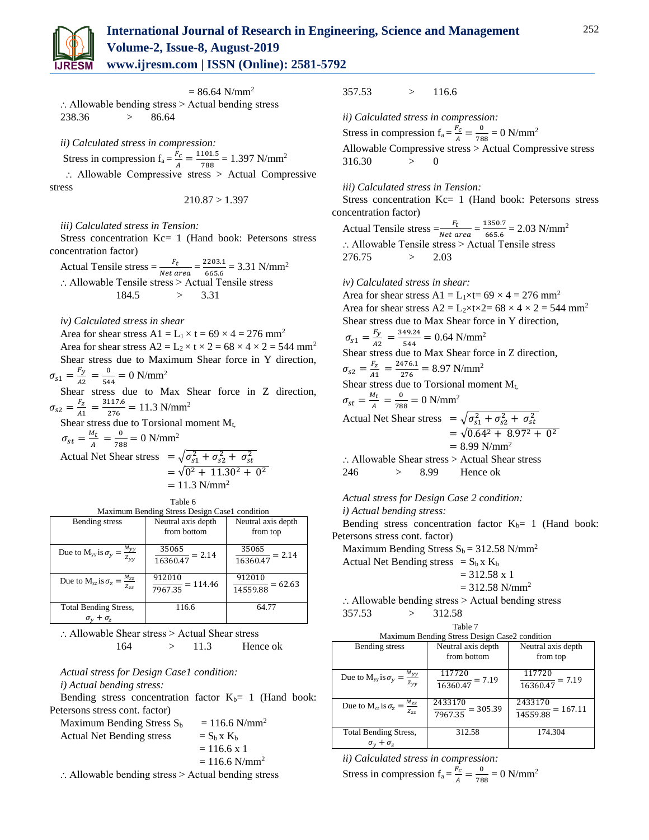

252

 $= 86.64$  N/mm<sup>2</sup> : Allowable bending stress > Actual bending stress 238.36 > 86.64

*ii) Calculated stress in compression:*

Stress in compression  $f_a = \frac{F_c}{A}$  $\frac{F_c}{A} = \frac{1101.5}{788}$  $\frac{101.5}{788}$  = 1.397 N/mm<sup>2</sup> : Allowable Compressive stress > Actual Compressive stress

 $210.87 > 1.397$ 

#### *iii) Calculated stress in Tension:*

Stress concentration Kc= 1 (Hand book: Petersons stress concentration factor)

Actual Tensile stress  $= \frac{F_t}{Net\ area} = \frac{2203.1}{665.6}$  $\frac{2203.1}{665.6}$  = 3.31 N/mm<sup>2</sup> ⸫ Allowable Tensile stress > Actual Tensile stress 184.5 > 3.31

*iv) Calculated stress in shear*

Area for shear stress  $A1 = L_1 \times t = 69 \times 4 = 276$  mm<sup>2</sup> Area for shear stress  $A2 = L_2 \times t \times 2 = 68 \times 4 \times 2 = 544$  mm<sup>2</sup> Shear stress due to Maximum Shear force in Y direction,  $\sigma_{s1} = \frac{F_y}{42}$  $\frac{F_y}{A2} = \frac{0}{54}$  $\frac{0}{544} = 0$  N/mm<sup>2</sup>

Shear stress due to Max Shear force in Z direction,  $\sigma_{s2} = \frac{F_Z}{41}$  $\frac{F_Z}{A1} = \frac{3117.6}{276}$  $\frac{117.6}{276}$  = 11.3 N/mm<sup>2</sup>

Shear stress due to Torsional moment  $M_{t}$ ,

 $\sigma_{st}=\frac{M_t}{4}$  $\frac{M_t}{A} = \frac{0}{78}$  $\frac{0}{788}$  = 0 N/mm<sup>2</sup> Actual Net Shear stress  $= \sqrt{\sigma_{s1}^2 + \sigma_{s2}^2 + \sigma_{st}^2}$  $=$   $\sqrt{0^2 + 11.30^2 + 0^2}$ 

|  | $= 11.3$ N/mm <sup>2</sup> |
|--|----------------------------|
|  |                            |

Table 6 Maximum Bending Stress Design Case1 condition

| maximum Bending Butess Besign Cuser condition                |                              |                     |  |  |
|--------------------------------------------------------------|------------------------------|---------------------|--|--|
| Bending stress                                               | Neutral axis depth           | Neutral axis depth  |  |  |
|                                                              | from bottom                  | from top            |  |  |
|                                                              |                              |                     |  |  |
| Due to M <sub>yy</sub> is $\sigma_y = \frac{M_{yy}}{Z_{yy}}$ | 35065<br>$= 2.14$            | 35065<br>$= 2.14$   |  |  |
|                                                              | 16360.47                     | 16360.47            |  |  |
|                                                              |                              |                     |  |  |
| Due to $M_{zz}$ is $\sigma_z = \frac{M_{zz}}{Z_{zz}}$        | 912010                       | 912010<br>$= 62.63$ |  |  |
|                                                              | $\frac{1}{7967.35}$ = 114.46 | 14559.88            |  |  |
|                                                              |                              |                     |  |  |
| <b>Total Bending Stress,</b>                                 | 116.6                        | 64.77               |  |  |
| $\sigma_{v} + \sigma_{z}$                                    |                              |                     |  |  |

∴ Allowable Shear stress > Actual Shear stress 164 > 11.3 Hence ok

#### *Actual stress for Design Case1 condition: i) Actual bending stress:*

Bending stress concentration factor  $K_b= 1$  (Hand book: Petersons stress cont. factor)

| Maximum Bending Stress $S_b$                                                     | $= 116.6$ N/mm <sup>2</sup> |
|----------------------------------------------------------------------------------|-----------------------------|
| <b>Actual Net Bending stress</b>                                                 | $= S_h x K_h$               |
|                                                                                  | $= 116.6 x 1$               |
|                                                                                  | $= 116.6$ N/mm <sup>2</sup> |
| $\lambda$ 11 = 11 1 1 1 $\lambda$ $\lambda$ $\lambda$ $\lambda$ 11 1 1 $\lambda$ |                             |

 $\therefore$  Allowable bending stress  $>$  Actual bending stress

## 357.53 > 116.6

*ii) Calculated stress in compression:* Stress in compression  $f_a = \frac{F_c}{A}$  $\frac{F_c}{A} = \frac{0}{78}$  $\frac{0}{788}$  = 0 N/mm<sup>2</sup> Allowable Compressive stress > Actual Compressive stress  $316.30 > 0$ 

#### *iii) Calculated stress in Tension:*

Stress concentration Kc= 1 (Hand book: Petersons stress concentration factor)

Actual Tensile stress  $=\frac{F_t}{Net\ area} = \frac{1350.7}{665.6}$  $\frac{(350.7)}{665.6}$  = 2.03 N/mm<sup>2</sup> ∴ Allowable Tensile stress > Actual Tensile stress 276.75 > 2.03

#### *iv) Calculated stress in shear:*

Area for shear stress A1 =  $L_1\times t= 69 \times 4 = 276$  mm<sup>2</sup> Area for shear stress  $A2 = L_2 \times t \times 2 = 68 \times 4 \times 2 = 544$  mm<sup>2</sup> Shear stress due to Max Shear force in Y direction,  $\sigma_{s1} = \frac{F_y}{42}$  $\frac{F_y}{A2} = \frac{349.24}{544}$  $\frac{49.24}{544}$  = 0.64 N/mm<sup>2</sup> Shear stress due to Max Shear force in Z direction,  $\sigma_{S2} = \frac{F_Z}{41}$  $\frac{F_Z}{A1} = \frac{2476.1}{276}$  $\frac{476.1}{276}$  = 8.97 N/mm<sup>2</sup> Shear stress due to Torsional moment  $M_t$ ,  $\sigma_{st}=\frac{M_t}{4}$  $\frac{M_t}{A} = \frac{0}{78}$  $\frac{0}{788}$  = 0 N/mm<sup>2</sup> Actual Net Shear stress  $= \sqrt{\sigma_{s1}^2 + \sigma_{s2}^2 + \sigma_{st}^2}$  $=\sqrt{0.64^2 + 8.97^2 + 0^2}$  $= 8.99$  N/mm<sup>2</sup> ∴ Allowable Shear stress > Actual Shear stress

246 > 8.99 Hence ok

*Actual stress for Design Case 2 condition: i) Actual bending stress:* 

Bending stress concentration factor  $K_b$ = 1 (Hand book:

Petersons stress cont. factor)

Maximum Bending Stress  $S_b = 312.58$  N/mm<sup>2</sup>

Actual Net Bending stress =  $S_b x K_b$ 

$$
= 312.58 \times 1
$$

 $= 312.58$  N/mm<sup>2</sup>

 $\therefore$  Allowable bending stress > Actual bending stress  $357.53$   $> 312.58$ 

| Table 7<br>Maximum Bending Stress Design Case2 condition     |                                              |                                            |  |  |
|--------------------------------------------------------------|----------------------------------------------|--------------------------------------------|--|--|
| Bending stress                                               | Neutral axis depth<br>from bottom            | Neutral axis depth<br>from top             |  |  |
| Due to M <sub>yy</sub> is $\sigma_y = \frac{M_{yy}}{Z_{yy}}$ | 117720<br>$\frac{117.28}{16360.47} = 7.19$   | 117720<br>$\frac{111122}{16360.47} = 7.19$ |  |  |
| Due to $M_{zz}$ is $\sigma_z = \frac{M_{zz}}{Z_{zz}}$        | 2433170<br>$= 305.39$<br>$\frac{1}{7967.35}$ | 2433170<br>$= 167.11$<br>14559.88          |  |  |
| <b>Total Bending Stress,</b><br>$\sigma_v + \sigma_z$        | 312.58                                       | 174.304                                    |  |  |

*ii) Calculated stress in compression:*

Stress in compression  $f_a = \frac{F_c}{A}$  $\frac{F_c}{A} = \frac{0}{78}$  $\frac{0}{788}$  = 0 N/mm<sup>2</sup>